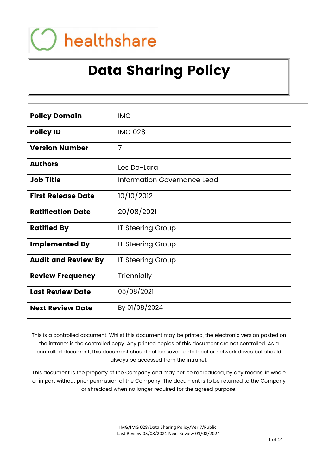# healthshare

# Data Sharing Policy

| <b>Policy Domain</b>       | <b>IMG</b>                  |
|----------------------------|-----------------------------|
| <b>Policy ID</b>           | <b>IMG 028</b>              |
| <b>Version Number</b>      | $\overline{7}$              |
| <b>Authors</b>             | Les De-Lara                 |
| <b>Job Title</b>           | Information Governance Lead |
| <b>First Release Date</b>  | 10/10/2012                  |
| <b>Ratification Date</b>   | 20/08/2021                  |
| <b>Ratified By</b>         | <b>IT Steering Group</b>    |
| <b>Implemented By</b>      | <b>IT Steering Group</b>    |
| <b>Audit and Review By</b> | IT Steering Group           |
| <b>Review Frequency</b>    | Triennially                 |
| <b>Last Review Date</b>    | 05/08/2021                  |
| <b>Next Review Date</b>    | By 01/08/2024               |

This is a controlled document. Whilst this document may be printed, the electronic version posted on the intranet is the controlled copy. Any printed copies of this document are not controlled. As a controlled document, this document should not be saved onto local or network drives but should always be accessed from the intranet.

This document is the property of the Company and may not be reproduced, by any means, in whole or in part without prior permission of the Company. The document is to be returned to the Company or shredded when no longer required for the agreed purpose.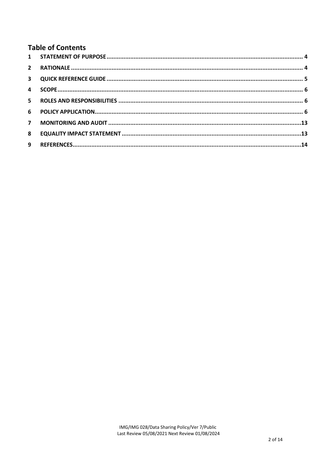# **Table of Contents**

| 8 |  |
|---|--|
| 9 |  |
|   |  |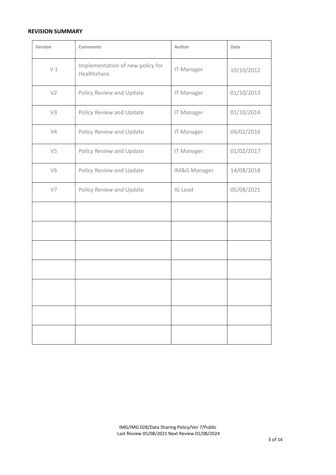#### REVISION SUMMARY

| Version        | <b>Comments</b>                                  | Author            | Date       |
|----------------|--------------------------------------------------|-------------------|------------|
| V1             | Implementation of new policy for<br>Healthshare. | <b>IT Manager</b> | 10/10/2012 |
| V <sub>2</sub> | Policy Review and Update                         | <b>IT Manager</b> | 01/10/2013 |
| V3             | Policy Review and Update                         | <b>IT Manager</b> | 01/10/2014 |
| V4             | Policy Review and Update                         | <b>IT Manager</b> | 04/02/2016 |
| V <sub>5</sub> | Policy Review and Update                         | <b>IT Manager</b> | 01/02/2017 |
| V <sub>6</sub> | Policy Review and Update                         | IM&G Manager      | 14/08/2018 |
| V7             | Policy Review and Update                         | IG Lead           | 05/08/2021 |
|                |                                                  |                   |            |
|                |                                                  |                   |            |
|                |                                                  |                   |            |
|                |                                                  |                   |            |
|                |                                                  |                   |            |
|                |                                                  |                   |            |
|                |                                                  |                   |            |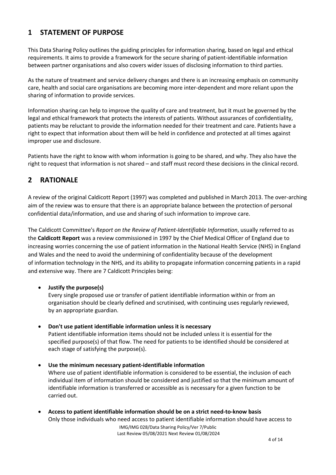# 1 STATEMENT OF PURPOSE

This Data Sharing Policy outlines the guiding principles for information sharing, based on legal and ethical requirements. It aims to provide a framework for the secure sharing of patient-identifiable information between partner organisations and also covers wider issues of disclosing information to third parties.

As the nature of treatment and service delivery changes and there is an increasing emphasis on community care, health and social care organisations are becoming more inter-dependent and more reliant upon the sharing of information to provide services.

Information sharing can help to improve the quality of care and treatment, but it must be governed by the legal and ethical framework that protects the interests of patients. Without assurances of confidentiality, patients may be reluctant to provide the information needed for their treatment and care. Patients have a right to expect that information about them will be held in confidence and protected at all times against improper use and disclosure.

Patients have the right to know with whom information is going to be shared, and why. They also have the right to request that information is not shared – and staff must record these decisions in the clinical record.

# 2 RATIONALE

A review of the original Caldicott Report (1997) was completed and published in March 2013. The over-arching aim of the review was to ensure that there is an appropriate balance between the protection of personal confidential data/information, and use and sharing of such information to improve care.

The Caldicott Committee's Report on the Review of Patient-Identifiable Information, usually referred to as the Caldicott Report was a review commissioned in 1997 by the Chief Medical Officer of England due to increasing worries concerning the use of patient information in the National Health Service (NHS) in England and Wales and the need to avoid the undermining of confidentiality because of the development of information technology in the NHS, and its ability to propagate information concerning patients in a rapid and extensive way. There are 7 Caldicott Principles being:

#### Justify the purpose(s)

Every single proposed use or transfer of patient identifiable information within or from an organisation should be clearly defined and scrutinised, with continuing uses regularly reviewed, by an appropriate guardian.

Don't use patient identifiable information unless it is necessary

Patient identifiable information items should not be included unless it is essential for the specified purpose(s) of that flow. The need for patients to be identified should be considered at each stage of satisfying the purpose(s).

- Use the minimum necessary patient-identifiable information Where use of patient identifiable information is considered to be essential, the inclusion of each individual item of information should be considered and justified so that the minimum amount of identifiable information is transferred or accessible as is necessary for a given function to be carried out.
- Access to patient identifiable information should be on a strict need-to-know basis Only those individuals who need access to patient identifiable information should have access to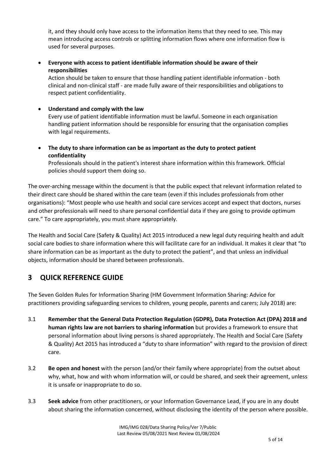it, and they should only have access to the information items that they need to see. This may mean introducing access controls or splitting information flows where one information flow is used for several purposes.

 Everyone with access to patient identifiable information should be aware of their responsibilities

Action should be taken to ensure that those handling patient identifiable information - both clinical and non-clinical staff - are made fully aware of their responsibilities and obligations to respect patient confidentiality.

Understand and comply with the law

Every use of patient identifiable information must be lawful. Someone in each organisation handling patient information should be responsible for ensuring that the organisation complies with legal requirements.

 The duty to share information can be as important as the duty to protect patient confidentiality

Professionals should in the patient's interest share information within this framework. Official policies should support them doing so.

The over-arching message within the document is that the public expect that relevant information related to their direct care should be shared within the care team (even if this includes professionals from other organisations): "Most people who use health and social care services accept and expect that doctors, nurses and other professionals will need to share personal confidential data if they are going to provide optimum care." To care appropriately, you must share appropriately.

The Health and Social Care (Safety & Quality) Act 2015 introduced a new legal duty requiring health and adult social care bodies to share information where this will facilitate care for an individual. It makes it clear that "to share information can be as important as the duty to protect the patient", and that unless an individual objects, information should be shared between professionals.

# 3 QUICK REFERENCE GUIDE

The Seven Golden Rules for Information Sharing (HM Government Information Sharing: Advice for practitioners providing safeguarding services to children, young people, parents and carers; July 2018) are:

- 3.1 Remember that the General Data Protection Regulation (GDPR), Data Protection Act (DPA) 2018 and human rights law are not barriers to sharing information but provides a framework to ensure that personal information about living persons is shared appropriately. The Health and Social Care (Safety & Quality) Act 2015 has introduced a "duty to share information" with regard to the provision of direct care.
- 3.2 Be open and honest with the person (and/or their family where appropriate) from the outset about why, what, how and with whom information will, or could be shared, and seek their agreement, unless it is unsafe or inappropriate to do so.
- 3.3 Seek advice from other practitioners, or your Information Governance Lead, if you are in any doubt about sharing the information concerned, without disclosing the identity of the person where possible.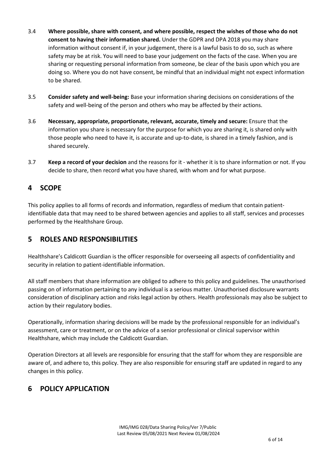- 3.4 Where possible, share with consent, and where possible, respect the wishes of those who do not consent to having their information shared. Under the GDPR and DPA 2018 you may share information without consent if, in your judgement, there is a lawful basis to do so, such as where safety may be at risk. You will need to base your judgement on the facts of the case. When you are sharing or requesting personal information from someone, be clear of the basis upon which you are doing so. Where you do not have consent, be mindful that an individual might not expect information to be shared.
- 3.5 Consider safety and well-being: Base your information sharing decisions on considerations of the safety and well-being of the person and others who may be affected by their actions.
- 3.6 Necessary, appropriate, proportionate, relevant, accurate, timely and secure: Ensure that the information you share is necessary for the purpose for which you are sharing it, is shared only with those people who need to have it, is accurate and up-to-date, is shared in a timely fashion, and is shared securely.
- 3.7 Keep a record of your decision and the reasons for it whether it is to share information or not. If you decide to share, then record what you have shared, with whom and for what purpose.

# 4 SCOPE

This policy applies to all forms of records and information, regardless of medium that contain patientidentifiable data that may need to be shared between agencies and applies to all staff, services and processes performed by the Healthshare Group.

# 5 ROLES AND RESPONSIBILITIES

Healthshare's Caldicott Guardian is the officer responsible for overseeing all aspects of confidentiality and security in relation to patient-identifiable information.

All staff members that share information are obliged to adhere to this policy and guidelines. The unauthorised passing on of information pertaining to any individual is a serious matter. Unauthorised disclosure warrants consideration of disciplinary action and risks legal action by others. Health professionals may also be subject to action by their regulatory bodies.

Operationally, information sharing decisions will be made by the professional responsible for an individual's assessment, care or treatment, or on the advice of a senior professional or clinical supervisor within Healthshare, which may include the Caldicott Guardian.

Operation Directors at all levels are responsible for ensuring that the staff for whom they are responsible are aware of, and adhere to, this policy. They are also responsible for ensuring staff are updated in regard to any changes in this policy.

# 6 POLICY APPLICATION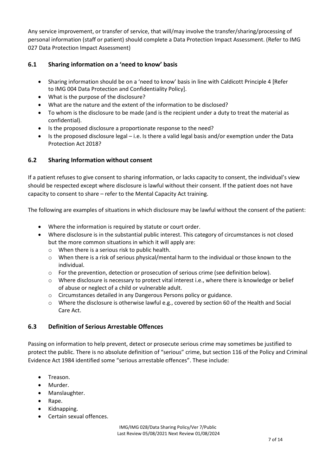Any service improvement, or transfer of service, that will/may involve the transfer/sharing/processing of personal information (staff or patient) should complete a Data Protection Impact Assessment. (Refer to IMG 027 Data Protection Impact Assessment)

#### 6.1 Sharing information on a 'need to know' basis

- Sharing information should be on a 'need to know' basis in line with Caldicott Principle 4 [Refer to IMG 004 Data Protection and Confidentiality Policy].
- What is the purpose of the disclosure?
- What are the nature and the extent of the information to be disclosed?
- To whom is the disclosure to be made (and is the recipient under a duty to treat the material as confidential).
- Is the proposed disclosure a proportionate response to the need?
- $\bullet$  Is the proposed disclosure legal i.e. Is there a valid legal basis and/or exemption under the Data Protection Act 2018?

#### 6.2 Sharing Information without consent

If a patient refuses to give consent to sharing information, or lacks capacity to consent, the individual's view should be respected except where disclosure is lawful without their consent. If the patient does not have capacity to consent to share – refer to the Mental Capacity Act training.

The following are examples of situations in which disclosure may be lawful without the consent of the patient:

- Where the information is required by statute or court order.
- Where disclosure is in the substantial public interest. This category of circumstances is not closed but the more common situations in which it will apply are:
	- o When there is a serious risk to public health.
	- $\circ$  When there is a risk of serious physical/mental harm to the individual or those known to the individual.
	- o For the prevention, detection or prosecution of serious crime (see definition below).
	- o Where disclosure is necessary to protect vital interest i.e., where there is knowledge or belief of abuse or neglect of a child or vulnerable adult.
	- o Circumstances detailed in any Dangerous Persons policy or guidance.
	- o Where the disclosure is otherwise lawful e.g., covered by section 60 of the Health and Social Care Act.

#### 6.3 Definition of Serious Arrestable Offences

Passing on information to help prevent, detect or prosecute serious crime may sometimes be justified to protect the public. There is no absolute definition of "serious" crime, but section 116 of the Policy and Criminal Evidence Act 1984 identified some "serious arrestable offences". These include:

- Treason.
- Murder.
- Manslaughter.
- Rape.
- Kidnapping.
- Certain sexual offences.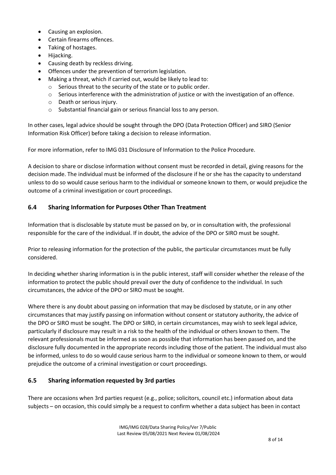- Causing an explosion.
- Certain firearms offences.
- Taking of hostages.
- Hijacking.
- Causing death by reckless driving.
- Offences under the prevention of terrorism legislation.
- Making a threat, which if carried out, would be likely to lead to:
	- o Serious threat to the security of the state or to public order.
	- $\circ$  Serious interference with the administration of justice or with the investigation of an offence.
	- o Death or serious injury.
	- o Substantial financial gain or serious financial loss to any person.

In other cases, legal advice should be sought through the DPO (Data Protection Officer) and SIRO (Senior Information Risk Officer) before taking a decision to release information.

For more information, refer to IMG 031 Disclosure of Information to the Police Procedure.

A decision to share or disclose information without consent must be recorded in detail, giving reasons for the decision made. The individual must be informed of the disclosure if he or she has the capacity to understand unless to do so would cause serious harm to the individual or someone known to them, or would prejudice the outcome of a criminal investigation or court proceedings.

#### 6.4 Sharing Information for Purposes Other Than Treatment

Information that is disclosable by statute must be passed on by, or in consultation with, the professional responsible for the care of the individual. If in doubt, the advice of the DPO or SIRO must be sought.

Prior to releasing information for the protection of the public, the particular circumstances must be fully considered.

In deciding whether sharing information is in the public interest, staff will consider whether the release of the information to protect the public should prevail over the duty of confidence to the individual. In such circumstances, the advice of the DPO or SIRO must be sought.

Where there is any doubt about passing on information that may be disclosed by statute, or in any other circumstances that may justify passing on information without consent or statutory authority, the advice of the DPO or SIRO must be sought. The DPO or SIRO, in certain circumstances, may wish to seek legal advice, particularly if disclosure may result in a risk to the health of the individual or others known to them. The relevant professionals must be informed as soon as possible that information has been passed on, and the disclosure fully documented in the appropriate records including those of the patient. The individual must also be informed, unless to do so would cause serious harm to the individual or someone known to them, or would prejudice the outcome of a criminal investigation or court proceedings.

#### 6.5 Sharing information requested by 3rd parties

There are occasions when 3rd parties request (e.g., police; solicitors, council etc.) information about data subjects – on occasion, this could simply be a request to confirm whether a data subject has been in contact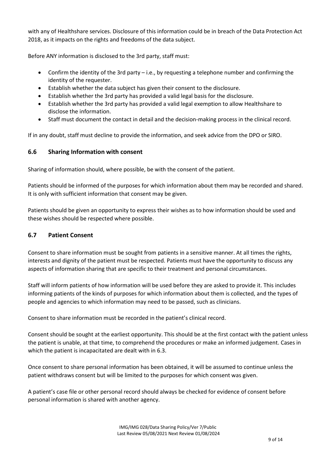with any of Healthshare services. Disclosure of this information could be in breach of the Data Protection Act 2018, as it impacts on the rights and freedoms of the data subject.

Before ANY information is disclosed to the 3rd party, staff must:

- Confirm the identity of the 3rd party i.e., by requesting a telephone number and confirming the identity of the requester.
- Establish whether the data subject has given their consent to the disclosure.
- Establish whether the 3rd party has provided a valid legal basis for the disclosure.
- Establish whether the 3rd party has provided a valid legal exemption to allow Healthshare to disclose the information.
- Staff must document the contact in detail and the decision-making process in the clinical record.

If in any doubt, staff must decline to provide the information, and seek advice from the DPO or SIRO.

#### 6.6 Sharing Information with consent

Sharing of information should, where possible, be with the consent of the patient.

Patients should be informed of the purposes for which information about them may be recorded and shared. It is only with sufficient information that consent may be given.

Patients should be given an opportunity to express their wishes as to how information should be used and these wishes should be respected where possible.

#### 6.7 Patient Consent

Consent to share information must be sought from patients in a sensitive manner. At all times the rights, interests and dignity of the patient must be respected. Patients must have the opportunity to discuss any aspects of information sharing that are specific to their treatment and personal circumstances.

Staff will inform patients of how information will be used before they are asked to provide it. This includes informing patients of the kinds of purposes for which information about them is collected, and the types of people and agencies to which information may need to be passed, such as clinicians.

Consent to share information must be recorded in the patient's clinical record.

Consent should be sought at the earliest opportunity. This should be at the first contact with the patient unless the patient is unable, at that time, to comprehend the procedures or make an informed judgement. Cases in which the patient is incapacitated are dealt with in 6.3.

Once consent to share personal information has been obtained, it will be assumed to continue unless the patient withdraws consent but will be limited to the purposes for which consent was given.

A patient's case file or other personal record should always be checked for evidence of consent before personal information is shared with another agency.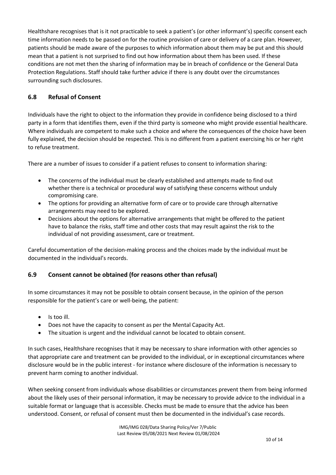Healthshare recognises that is it not practicable to seek a patient's (or other informant's) specific consent each time information needs to be passed on for the routine provision of care or delivery of a care plan. However, patients should be made aware of the purposes to which information about them may be put and this should mean that a patient is not surprised to find out how information about them has been used. If these conditions are not met then the sharing of information may be in breach of confidence or the General Data Protection Regulations. Staff should take further advice if there is any doubt over the circumstances surrounding such disclosures.

#### 6.8 Refusal of Consent

Individuals have the right to object to the information they provide in confidence being disclosed to a third party in a form that identifies them, even if the third party is someone who might provide essential healthcare. Where individuals are competent to make such a choice and where the consequences of the choice have been fully explained, the decision should be respected. This is no different from a patient exercising his or her right to refuse treatment.

There are a number of issues to consider if a patient refuses to consent to information sharing:

- The concerns of the individual must be clearly established and attempts made to find out whether there is a technical or procedural way of satisfying these concerns without unduly compromising care.
- The options for providing an alternative form of care or to provide care through alternative arrangements may need to be explored.
- Decisions about the options for alternative arrangements that might be offered to the patient have to balance the risks, staff time and other costs that may result against the risk to the individual of not providing assessment, care or treatment.

Careful documentation of the decision-making process and the choices made by the individual must be documented in the individual's records.

#### 6.9 Consent cannot be obtained (for reasons other than refusal)

In some circumstances it may not be possible to obtain consent because, in the opinion of the person responsible for the patient's care or well-being, the patient:

- Is too ill.
- Does not have the capacity to consent as per the Mental Capacity Act.
- The situation is urgent and the individual cannot be located to obtain consent.

In such cases, Healthshare recognises that it may be necessary to share information with other agencies so that appropriate care and treatment can be provided to the individual, or in exceptional circumstances where disclosure would be in the public interest - for instance where disclosure of the information is necessary to prevent harm coming to another individual.

When seeking consent from individuals whose disabilities or circumstances prevent them from being informed about the likely uses of their personal information, it may be necessary to provide advice to the individual in a suitable format or language that is accessible. Checks must be made to ensure that the advice has been understood. Consent, or refusal of consent must then be documented in the individual's case records.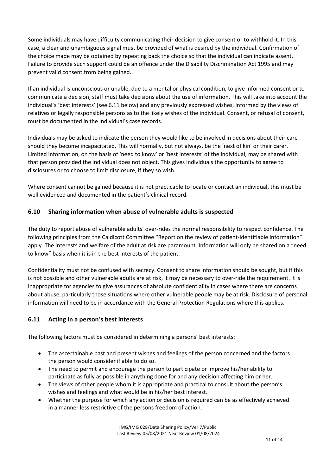Some individuals may have difficulty communicating their decision to give consent or to withhold it. In this case, a clear and unambiguous signal must be provided of what is desired by the individual. Confirmation of the choice made may be obtained by repeating back the choice so that the individual can indicate assent. Failure to provide such support could be an offence under the Disability Discrimination Act 1995 and may prevent valid consent from being gained.

If an individual is unconscious or unable, due to a mental or physical condition, to give informed consent or to communicate a decision, staff must take decisions about the use of information. This will take into account the individual's 'best interests' (see 6.11 below) and any previously expressed wishes, informed by the views of relatives or legally responsible persons as to the likely wishes of the individual. Consent, or refusal of consent, must be documented in the individual's case records.

Individuals may be asked to indicate the person they would like to be involved in decisions about their care should they become incapacitated. This will normally, but not always, be the 'next of kin' or their carer. Limited information, on the basis of 'need to know' or 'best interests' of the individual, may be shared with that person provided the individual does not object. This gives individuals the opportunity to agree to disclosures or to choose to limit disclosure, if they so wish.

Where consent cannot be gained because it is not practicable to locate or contact an individual, this must be well evidenced and documented in the patient's clinical record.

#### 6.10 Sharing information when abuse of vulnerable adults is suspected

The duty to report abuse of vulnerable adults' over-rides the normal responsibility to respect confidence. The following principles from the Caldicott Committee "Report on the review of patient-identifiable information" apply. The interests and welfare of the adult at risk are paramount. Information will only be shared on a "need to know" basis when it is in the best interests of the patient.

Confidentiality must not be confused with secrecy. Consent to share information should be sought, but if this is not possible and other vulnerable adults are at risk, it may be necessary to over-ride the requirement. It is inappropriate for agencies to give assurances of absolute confidentiality in cases where there are concerns about abuse, particularly those situations where other vulnerable people may be at risk. Disclosure of personal information will need to be in accordance with the General Protection Regulations where this applies.

#### 6.11 Acting in a person's best interests

The following factors must be considered in determining a persons' best interests:

- The ascertainable past and present wishes and feelings of the person concerned and the factors the person would consider if able to do so.
- The need to permit and encourage the person to participate or improve his/her ability to participate as fully as possible in anything done for and any decision affecting him or her.
- The views of other people whom it is appropriate and practical to consult about the person's wishes and feelings and what would be in his/her best interest.
- Whether the purpose for which any action or decision is required can be as effectively achieved in a manner less restrictive of the persons freedom of action.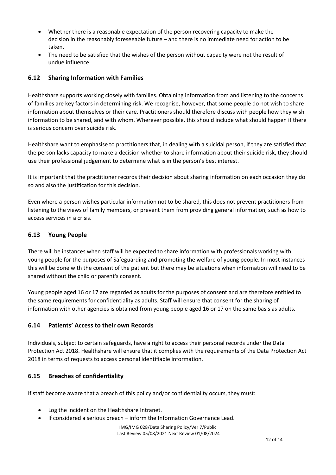- Whether there is a reasonable expectation of the person recovering capacity to make the decision in the reasonably foreseeable future – and there is no immediate need for action to be taken.
- The need to be satisfied that the wishes of the person without capacity were not the result of undue influence.

#### 6.12 Sharing Information with Families

Healthshare supports working closely with families. Obtaining information from and listening to the concerns of families are key factors in determining risk. We recognise, however, that some people do not wish to share information about themselves or their care. Practitioners should therefore discuss with people how they wish information to be shared, and with whom. Wherever possible, this should include what should happen if there is serious concern over suicide risk.

Healthshare want to emphasise to practitioners that, in dealing with a suicidal person, if they are satisfied that the person lacks capacity to make a decision whether to share information about their suicide risk, they should use their professional judgement to determine what is in the person's best interest.

It is important that the practitioner records their decision about sharing information on each occasion they do so and also the justification for this decision.

Even where a person wishes particular information not to be shared, this does not prevent practitioners from listening to the views of family members, or prevent them from providing general information, such as how to access services in a crisis.

#### 6.13 Young People

There will be instances when staff will be expected to share information with professionals working with young people for the purposes of Safeguarding and promoting the welfare of young people. In most instances this will be done with the consent of the patient but there may be situations when information will need to be shared without the child or parent's consent.

Young people aged 16 or 17 are regarded as adults for the purposes of consent and are therefore entitled to the same requirements for confidentiality as adults. Staff will ensure that consent for the sharing of information with other agencies is obtained from young people aged 16 or 17 on the same basis as adults.

#### 6.14 Patients' Access to their own Records

Individuals, subject to certain safeguards, have a right to access their personal records under the Data Protection Act 2018. Healthshare will ensure that it complies with the requirements of the Data Protection Act 2018 in terms of requests to access personal identifiable information.

#### 6.15 Breaches of confidentiality

If staff become aware that a breach of this policy and/or confidentiality occurs, they must:

- Log the incident on the Healthshare Intranet.
- If considered a serious breach inform the Information Governance Lead.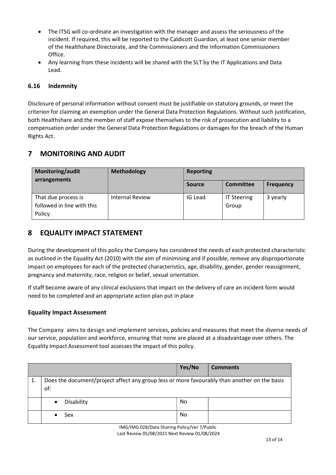- The ITSG will co-ordinate an investigation with the manager and assess the seriousness of the incident. If required, this will be reported to the Caldicott Guardian, at least one senior member of the Healthshare Directorate, and the Commissioners and the Information Commissioners Office.
- Any learning from these incidents will be shared with the SLT by the IT Applications and Data Lead.

#### 6.16 Indemnity

Disclosure of personal information without consent must be justifiable on statutory grounds, or meet the criterion for claiming an exemption under the General Data Protection Regulations. Without such justification, both Healthshare and the member of staff expose themselves to the risk of prosecution and liability to a compensation order under the General Data Protection Regulations or damages for the breach of the Human Rights Act.

# 7 MONITORING AND AUDIT

| Monitoring/audit<br>arrangements                            | Methodology            | <b>Reporting</b> |                             |                  |
|-------------------------------------------------------------|------------------------|------------------|-----------------------------|------------------|
|                                                             |                        | <b>Source</b>    | <b>Committee</b>            | <b>Frequency</b> |
| That due process is<br>followed in line with this<br>Policy | <b>Internal Review</b> | IG Lead          | <b>IT Steering</b><br>Group | 3 yearly         |

## 8 EQUALITY IMPACT STATEMENT

During the development of this policy the Company has considered the needs of each protected characteristic as outlined in the Equality Act (2010) with the aim of minimising and if possible, remove any disproportionate impact on employees for each of the protected characteristics, age, disability, gender, gender reassignment, pregnancy and maternity, race, religion or belief, sexual orientation.

If staff become aware of any clinical exclusions that impact on the delivery of care an incident form would need to be completed and an appropriate action plan put in place

#### Equality Impact Assessment

The Company aims to design and implement services, policies and measures that meet the diverse needs of our service, population and workforce, ensuring that none are placed at a disadvantage over others. The Equality Impact Assessment tool assesses the impact of this policy.

|    |                                                                                                     | Yes/No | <b>Comments</b> |
|----|-----------------------------------------------------------------------------------------------------|--------|-----------------|
| 1. | Does the document/project affect any group less or more favourably than another on the basis<br>of: |        |                 |
|    | Disability<br>$\bullet$                                                                             | No     |                 |
|    | Sex                                                                                                 | No     |                 |